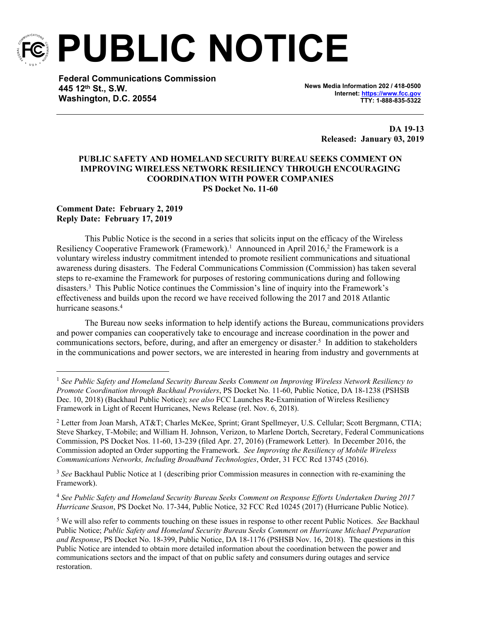

**PUBLIC NOTICE**

**Federal Communications Commission 445 12th St., S.W. Washington, D.C. 20554**

**News Media Information 202 / 418-0500 Internet:<https://www.fcc.gov> TTY: 1-888-835-5322**

> **DA 19-13 Released: January 03, 2019**

## **PUBLIC SAFETY AND HOMELAND SECURITY BUREAU SEEKS COMMENT ON IMPROVING WIRELESS NETWORK RESILIENCY THROUGH ENCOURAGING COORDINATION WITH POWER COMPANIES PS Docket No. 11-60**

#### **Comment Date: February 2, 2019 Reply Date: February 17, 2019**

This Public Notice is the second in a series that solicits input on the efficacy of the Wireless Resiliency Cooperative Framework (Framework).<sup>1</sup> Announced in April 2016,<sup>2</sup> the Framework is a voluntary wireless industry commitment intended to promote resilient communications and situational awareness during disasters. The Federal Communications Commission (Commission) has taken several steps to re-examine the Framework for purposes of restoring communications during and following disasters.<sup>3</sup> This Public Notice continues the Commission's line of inquiry into the Framework's effectiveness and builds upon the record we have received following the 2017 and 2018 Atlantic hurricane seasons.<sup>4</sup>

The Bureau now seeks information to help identify actions the Bureau, communications providers and power companies can cooperatively take to encourage and increase coordination in the power and communications sectors, before, during, and after an emergency or disaster.<sup>5</sup> In addition to stakeholders in the communications and power sectors, we are interested in hearing from industry and governments at

<sup>3</sup> *See* Backhaul Public Notice at 1 (describing prior Commission measures in connection with re-examining the Framework).

<sup>4</sup> *See Public Safety and Homeland Security Bureau Seeks Comment on Response Efforts Undertaken During 2017 Hurricane Season*, PS Docket No. 17-344, Public Notice, 32 FCC Rcd 10245 (2017) (Hurricane Public Notice).

<sup>1</sup> *See Public Safety and Homeland Security Bureau Seeks Comment on Improving Wireless Network Resiliency to Promote Coordination through Backhaul Providers*, PS Docket No. 11-60, Public Notice, DA 18-1238 (PSHSB Dec. 10, 2018) (Backhaul Public Notice); *see also* FCC Launches Re-Examination of Wireless Resiliency Framework in Light of Recent Hurricanes, News Release (rel. Nov. 6, 2018).

<sup>&</sup>lt;sup>2</sup> Letter from Joan Marsh, AT&T; Charles McKee, Sprint; Grant Spellmeyer, U.S. Cellular; Scott Bergmann, CTIA; Steve Sharkey, T-Mobile; and William H. Johnson, Verizon, to Marlene Dortch, Secretary, Federal Communications Commission, PS Docket Nos. 11-60, 13-239 (filed Apr. 27, 2016) (Framework Letter). In December 2016, the Commission adopted an Order supporting the Framework. *See Improving the Resiliency of Mobile Wireless Communications Networks, Including Broadband Technologies*, Order, 31 FCC Rcd 13745 (2016).

<sup>5</sup> We will also refer to comments touching on these issues in response to other recent Public Notices. *See* Backhaul Public Notice; *Public Safety and Homeland Security Bureau Seeks Comment on Hurricane Michael Preparation and Response*, PS Docket No. 18-399, Public Notice, DA 18-1176 (PSHSB Nov. 16, 2018). The questions in this Public Notice are intended to obtain more detailed information about the coordination between the power and communications sectors and the impact of that on public safety and consumers during outages and service restoration.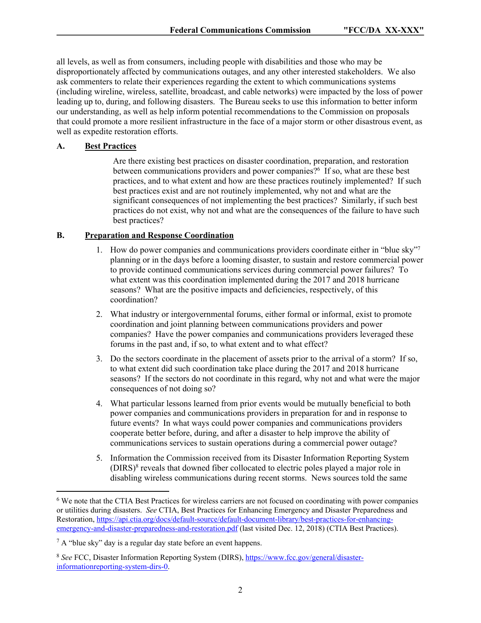all levels, as well as from consumers, including people with disabilities and those who may be disproportionately affected by communications outages, and any other interested stakeholders. We also ask commenters to relate their experiences regarding the extent to which communications systems (including wireline, wireless, satellite, broadcast, and cable networks) were impacted by the loss of power leading up to, during, and following disasters. The Bureau seeks to use this information to better inform our understanding, as well as help inform potential recommendations to the Commission on proposals that could promote a more resilient infrastructure in the face of a major storm or other disastrous event, as well as expedite restoration efforts.

# **A. Best Practices**

Are there existing best practices on disaster coordination, preparation, and restoration between communications providers and power companies?<sup>6</sup> If so, what are these best practices, and to what extent and how are these practices routinely implemented? If such best practices exist and are not routinely implemented, why not and what are the significant consequences of not implementing the best practices? Similarly, if such best practices do not exist, why not and what are the consequences of the failure to have such best practices?

# **B. Preparation and Response Coordination**

- 1. How do power companies and communications providers coordinate either in "blue sky"<sup>7</sup> planning or in the days before a looming disaster, to sustain and restore commercial power to provide continued communications services during commercial power failures? To what extent was this coordination implemented during the 2017 and 2018 hurricane seasons? What are the positive impacts and deficiencies, respectively, of this coordination?
- 2. What industry or intergovernmental forums, either formal or informal, exist to promote coordination and joint planning between communications providers and power companies? Have the power companies and communications providers leveraged these forums in the past and, if so, to what extent and to what effect?
- 3. Do the sectors coordinate in the placement of assets prior to the arrival of a storm? If so, to what extent did such coordination take place during the 2017 and 2018 hurricane seasons? If the sectors do not coordinate in this regard, why not and what were the major consequences of not doing so?
- 4. What particular lessons learned from prior events would be mutually beneficial to both power companies and communications providers in preparation for and in response to future events? In what ways could power companies and communications providers cooperate better before, during, and after a disaster to help improve the ability of communications services to sustain operations during a commercial power outage?
- 5. Information the Commission received from its Disaster Information Reporting System (DIRS)<sup>8</sup> reveals that downed fiber collocated to electric poles played a major role in disabling wireless communications during recent storms. News sources told the same

<sup>&</sup>lt;sup>6</sup> We note that the CTIA Best Practices for wireless carriers are not focused on coordinating with power companies or utilities during disasters. *See* CTIA, Best Practices for Enhancing Emergency and Disaster Preparedness and Restoration, [https://api.ctia.org/docs/default-source/default-document-library/best-practices-for-enhancing](https://api.ctia.org/docs/default-source/default-document-library/best-practices-for-enhancing-emergency-and-disaster-preparedness-and-restoration.pdf)[emergency-and-disaster-preparedness-and-restoration.pdf](https://api.ctia.org/docs/default-source/default-document-library/best-practices-for-enhancing-emergency-and-disaster-preparedness-and-restoration.pdf) (last visited Dec. 12, 2018) (CTIA Best Practices).

<sup>&</sup>lt;sup>7</sup> A "blue sky" day is a regular day state before an event happens.

<sup>8</sup> *See* FCC, Disaster Information Reporting System (DIRS), [https://www.fcc.gov/general/disaster](https://www.fcc.gov/general/disaster-informationreporting-system-dirs-0)[informationreporting-system-dirs-0.](https://www.fcc.gov/general/disaster-informationreporting-system-dirs-0)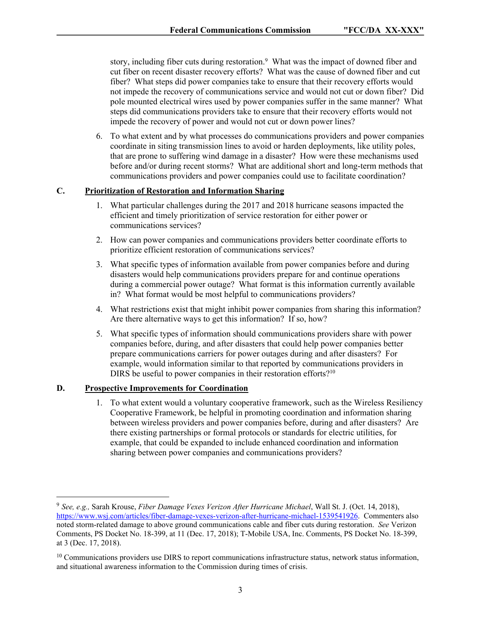story, including fiber cuts during restoration.<sup>9</sup> What was the impact of downed fiber and cut fiber on recent disaster recovery efforts? What was the cause of downed fiber and cut fiber? What steps did power companies take to ensure that their recovery efforts would not impede the recovery of communications service and would not cut or down fiber? Did pole mounted electrical wires used by power companies suffer in the same manner? What steps did communications providers take to ensure that their recovery efforts would not impede the recovery of power and would not cut or down power lines?

6. To what extent and by what processes do communications providers and power companies coordinate in siting transmission lines to avoid or harden deployments, like utility poles, that are prone to suffering wind damage in a disaster? How were these mechanisms used before and/or during recent storms? What are additional short and long-term methods that communications providers and power companies could use to facilitate coordination?

# **C. Prioritization of Restoration and Information Sharing**

- 1. What particular challenges during the 2017 and 2018 hurricane seasons impacted the efficient and timely prioritization of service restoration for either power or communications services?
- 2. How can power companies and communications providers better coordinate efforts to prioritize efficient restoration of communications services?
- 3. What specific types of information available from power companies before and during disasters would help communications providers prepare for and continue operations during a commercial power outage? What format is this information currently available in? What format would be most helpful to communications providers?
- 4. What restrictions exist that might inhibit power companies from sharing this information? Are there alternative ways to get this information? If so, how?
- 5. What specific types of information should communications providers share with power companies before, during, and after disasters that could help power companies better prepare communications carriers for power outages during and after disasters? For example, would information similar to that reported by communications providers in DIRS be useful to power companies in their restoration efforts?<sup>10</sup>

### **D. Prospective Improvements for Coordination**

1. To what extent would a voluntary cooperative framework, such as the Wireless Resiliency Cooperative Framework, be helpful in promoting coordination and information sharing between wireless providers and power companies before, during and after disasters? Are there existing partnerships or formal protocols or standards for electric utilities, for example, that could be expanded to include enhanced coordination and information sharing between power companies and communications providers?

<sup>9</sup> *See, e.g.,* Sarah Krouse, *Fiber Damage Vexes Verizon After Hurricane Michael*, Wall St. J. (Oct. 14, 2018), [https://www.wsj.com/articles/fiber-damage-vexes-verizon-after-hurricane-michael-1539541926.](https://www.wsj.com/articles/fiber-damage-vexes-verizon-after-hurricane-michael-1539541926) Commenters also noted storm-related damage to above ground communications cable and fiber cuts during restoration. *See* Verizon Comments, PS Docket No. 18-399, at 11 (Dec. 17, 2018); T-Mobile USA, Inc. Comments, PS Docket No. 18-399, at 3 (Dec. 17, 2018).

<sup>&</sup>lt;sup>10</sup> Communications providers use DIRS to report communications infrastructure status, network status information, and situational awareness information to the Commission during times of crisis.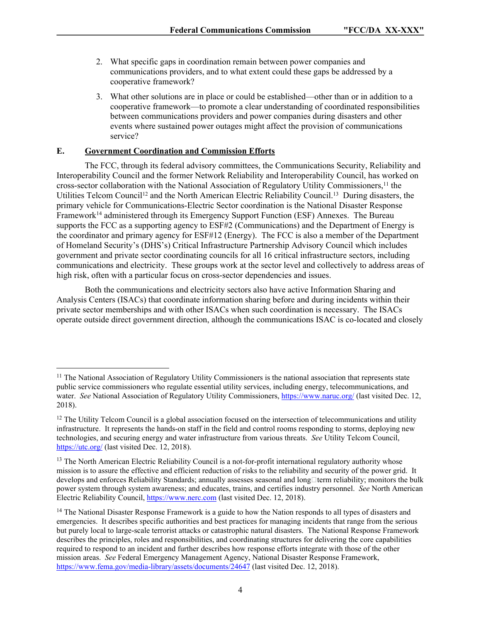- 2. What specific gaps in coordination remain between power companies and communications providers, and to what extent could these gaps be addressed by a cooperative framework?
- 3. What other solutions are in place or could be established—other than or in addition to a cooperative framework—to promote a clear understanding of coordinated responsibilities between communications providers and power companies during disasters and other events where sustained power outages might affect the provision of communications service?

## **E. Government Coordination and Commission Efforts**

The FCC, through its federal advisory committees, the Communications Security, Reliability and Interoperability Council and the former Network Reliability and Interoperability Council, has worked on cross-sector collaboration with the National Association of Regulatory Utility Commissioners,<sup>11</sup> the Utilities Telcom Council<sup>12</sup> and the North American Electric Reliability Council.<sup>13</sup> During disasters, the primary vehicle for Communications-Electric Sector coordination is the National Disaster Response Framework<sup>14</sup> administered through its Emergency Support Function (ESF) Annexes. The Bureau supports the FCC as a supporting agency to ESF#2 (Communications) and the Department of Energy is the coordinator and primary agency for ESF#12 (Energy). The FCC is also a member of the Department of Homeland Security's (DHS's) Critical Infrastructure Partnership Advisory Council which includes government and private sector coordinating councils for all 16 critical infrastructure sectors, including communications and electricity. These groups work at the sector level and collectively to address areas of high risk, often with a particular focus on cross-sector dependencies and issues.

Both the communications and electricity sectors also have active Information Sharing and Analysis Centers (ISACs) that coordinate information sharing before and during incidents within their private sector memberships and with other ISACs when such coordination is necessary. The ISACs operate outside direct government direction, although the communications ISAC is co-located and closely

<sup>&</sup>lt;sup>11</sup> The National Association of Regulatory Utility Commissioners is the national association that represents state public service commissioners who regulate essential utility services, including energy, telecommunications, and water. *See* National Association of Regulatory Utility Commissioners,<https://www.naruc.org/> (last visited Dec. 12, 2018).

<sup>&</sup>lt;sup>12</sup> The Utility Telcom Council is a global association focused on the intersection of telecommunications and utility infrastructure. It represents the hands-on staff in the field and control rooms responding to storms, deploying new technologies, and securing energy and water infrastructure from various threats. *See* Utility Telcom Council, <https://utc.org/>(last visited Dec. 12, 2018).

<sup>&</sup>lt;sup>13</sup> The North American Electric Reliability Council is a not-for-profit international regulatory authority whose mission is to assure the effective and efficient reduction of risks to the reliability and security of the power grid. It develops and enforces Reliability Standards; annually assesses seasonal and long□term reliability; monitors the bulk power system through system awareness; and educates, trains, and certifies industry personnel. *See* North American Electric Reliability Council, <https://www.nerc.com>(last visited Dec. 12, 2018).

<sup>&</sup>lt;sup>14</sup> The National Disaster Response Framework is a guide to how the Nation responds to all types of disasters and emergencies. It describes specific authorities and best practices for managing incidents that range from the serious but purely local to large-scale terrorist attacks or catastrophic natural disasters. The National Response Framework describes the principles, roles and responsibilities, and coordinating structures for delivering the core capabilities required to respond to an incident and further describes how response efforts integrate with those of the other mission areas. *See* Federal Emergency Management Agency, National Disaster Response Framework, <https://www.fema.gov/media-library/assets/documents/24647>(last visited Dec. 12, 2018).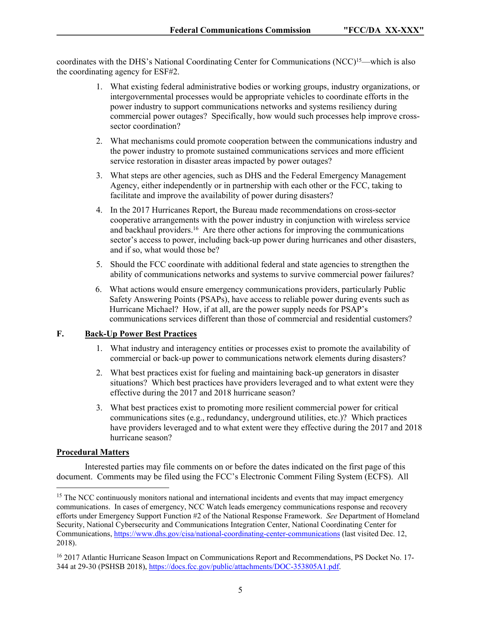coordinates with the DHS's National Coordinating Center for Communications (NCC)<sup>15</sup>—which is also the coordinating agency for ESF#2.

- 1. What existing federal administrative bodies or working groups, industry organizations, or intergovernmental processes would be appropriate vehicles to coordinate efforts in the power industry to support communications networks and systems resiliency during commercial power outages? Specifically, how would such processes help improve crosssector coordination?
- 2. What mechanisms could promote cooperation between the communications industry and the power industry to promote sustained communications services and more efficient service restoration in disaster areas impacted by power outages?
- 3. What steps are other agencies, such as DHS and the Federal Emergency Management Agency, either independently or in partnership with each other or the FCC, taking to facilitate and improve the availability of power during disasters?
- 4. In the 2017 Hurricanes Report, the Bureau made recommendations on cross-sector cooperative arrangements with the power industry in conjunction with wireless service and backhaul providers.<sup>16</sup> Are there other actions for improving the communications sector's access to power, including back-up power during hurricanes and other disasters, and if so, what would those be?
- 5. Should the FCC coordinate with additional federal and state agencies to strengthen the ability of communications networks and systems to survive commercial power failures?
- 6. What actions would ensure emergency communications providers, particularly Public Safety Answering Points (PSAPs), have access to reliable power during events such as Hurricane Michael? How, if at all, are the power supply needs for PSAP's communications services different than those of commercial and residential customers?

# **F. Back-Up Power Best Practices**

- 1. What industry and interagency entities or processes exist to promote the availability of commercial or back-up power to communications network elements during disasters?
- 2. What best practices exist for fueling and maintaining back-up generators in disaster situations? Which best practices have providers leveraged and to what extent were they effective during the 2017 and 2018 hurricane season?
- 3. What best practices exist to promoting more resilient commercial power for critical communications sites (e.g., redundancy, underground utilities, etc.)? Which practices have providers leveraged and to what extent were they effective during the 2017 and 2018 hurricane season?

### **Procedural Matters**

Interested parties may file comments on or before the dates indicated on the first page of this document. Comments may be filed using the FCC's Electronic Comment Filing System (ECFS). All

<sup>&</sup>lt;sup>15</sup> The NCC continuously monitors national and international incidents and events that may impact emergency communications. In cases of emergency, NCC Watch leads emergency communications response and recovery efforts under Emergency Support Function #2 of the National Response Framework. *See* Department of Homeland Security, National Cybersecurity and Communications Integration Center, National Coordinating Center for Communications,<https://www.dhs.gov/cisa/national-coordinating-center-communications> (last visited Dec. 12, 2018).

<sup>16</sup> 2017 Atlantic Hurricane Season Impact on Communications Report and Recommendations, PS Docket No. 17- 344 at 29-30 (PSHSB 2018), [https://docs.fcc.gov/public/attachments/DOC-353805A1.pdf.](https://docs.fcc.gov/public/attachments/DOC-353805A1.pdf)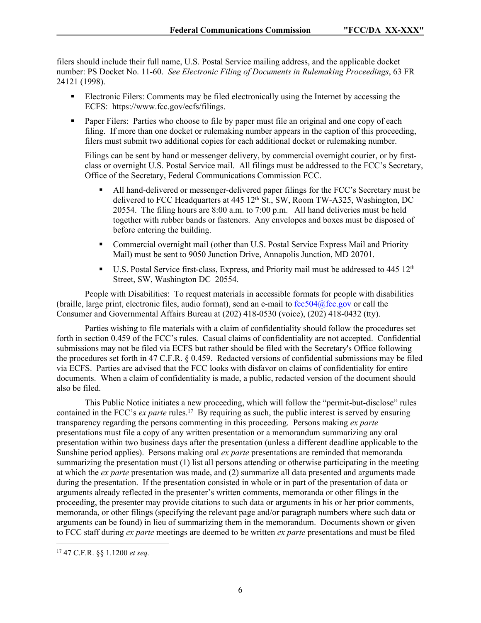filers should include their full name, U.S. Postal Service mailing address, and the applicable docket number: PS Docket No. 11-60. *See Electronic Filing of Documents in Rulemaking Proceedings*, 63 FR 24121 (1998).

- Electronic Filers: Comments may be filed electronically using the Internet by accessing the ECFS: https://www.fcc.gov/ecfs/filings.
- **Paper Filers:** Parties who choose to file by paper must file an original and one copy of each filing. If more than one docket or rulemaking number appears in the caption of this proceeding, filers must submit two additional copies for each additional docket or rulemaking number.

Filings can be sent by hand or messenger delivery, by commercial overnight courier, or by firstclass or overnight U.S. Postal Service mail. All filings must be addressed to the FCC's Secretary, Office of the Secretary, Federal Communications Commission FCC.

- All hand-delivered or messenger-delivered paper filings for the FCC's Secretary must be delivered to FCC Headquarters at  $445\,12^{th}$  St., SW, Room TW-A325, Washington, DC 20554. The filing hours are 8:00 a.m. to 7:00 p.m. All hand deliveries must be held together with rubber bands or fasteners. Any envelopes and boxes must be disposed of before entering the building.
- Commercial overnight mail (other than U.S. Postal Service Express Mail and Priority Mail) must be sent to 9050 Junction Drive, Annapolis Junction, MD 20701.
- U.S. Postal Service first-class, Express, and Priority mail must be addressed to  $445 \frac{12^{th}}{125}$ Street, SW, Washington DC 20554.

People with Disabilities: To request materials in accessible formats for people with disabilities (braille, large print, electronic files, audio format), send an e-mail to  $fcc504@$ fcc.gov or call the Consumer and Governmental Affairs Bureau at (202) 418-0530 (voice), (202) 418-0432 (tty).

Parties wishing to file materials with a claim of confidentiality should follow the procedures set forth in section 0.459 of the FCC's rules. Casual claims of confidentiality are not accepted. Confidential submissions may not be filed via ECFS but rather should be filed with the Secretary's Office following the procedures set forth in 47 C.F.R. § 0.459. Redacted versions of confidential submissions may be filed via ECFS. Parties are advised that the FCC looks with disfavor on claims of confidentiality for entire documents. When a claim of confidentiality is made, a public, redacted version of the document should also be filed.

This Public Notice initiates a new proceeding, which will follow the "permit-but-disclose" rules contained in the FCC's *ex parte* rules.<sup>17</sup> By requiring as such, the public interest is served by ensuring transparency regarding the persons commenting in this proceeding. Persons making *ex parte*  presentations must file a copy of any written presentation or a memorandum summarizing any oral presentation within two business days after the presentation (unless a different deadline applicable to the Sunshine period applies). Persons making oral *ex parte* presentations are reminded that memoranda summarizing the presentation must (1) list all persons attending or otherwise participating in the meeting at which the *ex parte* presentation was made, and (2) summarize all data presented and arguments made during the presentation. If the presentation consisted in whole or in part of the presentation of data or arguments already reflected in the presenter's written comments, memoranda or other filings in the proceeding, the presenter may provide citations to such data or arguments in his or her prior comments, memoranda, or other filings (specifying the relevant page and/or paragraph numbers where such data or arguments can be found) in lieu of summarizing them in the memorandum. Documents shown or given to FCC staff during *ex parte* meetings are deemed to be written *ex parte* presentations and must be filed

<sup>17</sup> 47 C.F.R. §§ 1.1200 *et seq.*